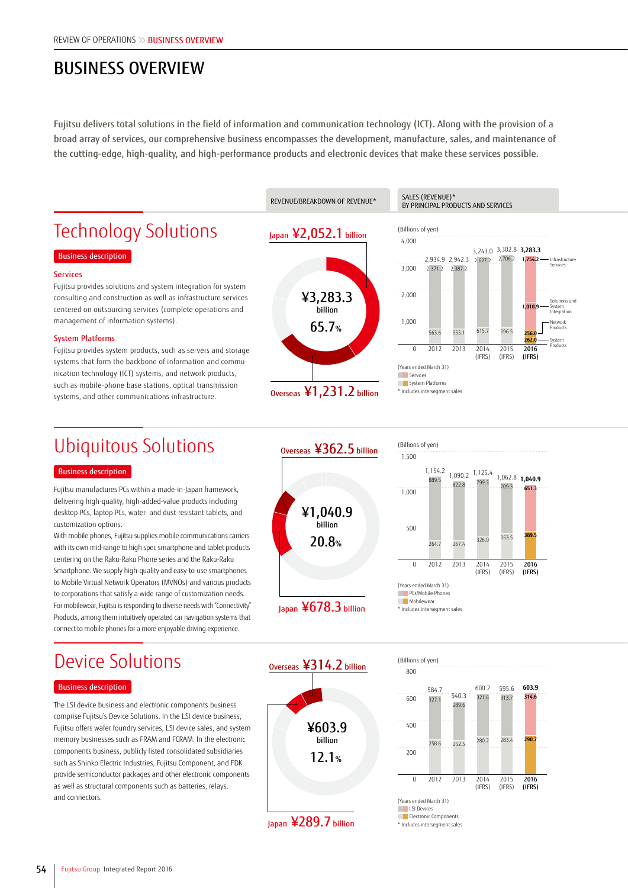## BUSINESS OVERVIEW

Fujitsu delivers total solutions in the field of information and communication technology (ICT). Along with the provision of a broad array of services, our comprehensive business encompasses the development, manufacture, sales, and maintenance of the cutting-edge, high-quality, and high-performance products and electronic devices that make these services possible.



# Ubiquitous Solutions

#### Business description

Fujitsu manufactures PCs within a made-in-Japan framework, delivering high-quality, high-added-value products including desktop PCs, laptop PCs, water- and dust-resistant tablets, and customization options.

With mobile phones, Fujitsu supplies mobile communications carriers with its own mid-range to high spec smartphone and tablet products centering on the Raku-Raku Phone series and the Raku-Raku Smartphone. We supply high-quality and easy-to-use smartphones to Mobile Virtual Network Operators (MVNOs) and various products to corporations that satisfy a wide range of customization needs. For mobilewear, Fujitsu is responding to diverse needs with "Connectivity" Products, among them intuitively operated car navigation systems that connect to mobile phones for a more enjoyable driving experience.



Japan ¥678.3 billion



\* Includes intersegment sales

## Device Solutions

### Business description

The LSI device business and electronic components business comprise Fujitsu's Device Solutions. In the LSI device business, Fujitsu offers wafer foundry services, LSI device sales, and system memory businesses such as FRAM and FCRAM. In the electronic components business, publicly listed consolidated subsidiaries such as Shinko Electric Industries, Fujitsu Component, and FDK provide semiconductor packages and other electronic components as well as structural components such as batteries, relays, and connectors.



Japan ¥289.7 billion